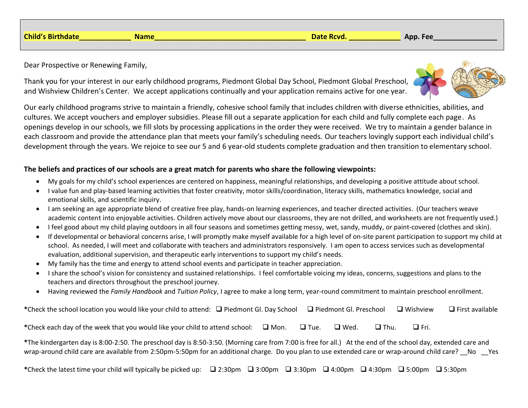|                | <b>Massa</b> |                   |                  |
|----------------|--------------|-------------------|------------------|
| <b>Child's</b> | чанк         | <b>Date Rcva.</b> | Fee<br>Δnn.<br>∼ |
|                |              |                   |                  |

Dear Prospective or Renewing Family,

Thank you for your interest in our early childhood programs, Piedmont Global Day School, Piedmont Global Preschool, and Wishview Children's Center. We accept applications continually and your application remains active for one year.

Our early childhood programs strive to maintain a friendly, cohesive school family that includes children with diverse ethnicities, abilities, and cultures. We accept vouchers and employer subsidies. Please fill out a separate application for each child and fully complete each page. As openings develop in our schools, we fill slots by processing applications in the order they were received. We try to maintain a gender balance in each classroom and provide the attendance plan that meets your family's scheduling needs. Our teachers lovingly support each individual child's development through the years. We rejoice to see our 5 and 6 year-old students complete graduation and then transition to elementary school.

## **The beliefs and practices of our schools are a great match for parents who share the following viewpoints:**

- My goals for my child's school experiences are centered on happiness, meaningful relationships, and developing a positive attitude about school.
- I value fun and play-based learning activities that foster creativity, motor skills/coordination, literacy skills, mathematics knowledge, social and emotional skills, and scientific inquiry.
- I am seeking an age appropriate blend of creative free play, hands-on learning experiences, and teacher directed activities. (Our teachers weave academic content into enjoyable activities. Children actively move about our classrooms, they are not drilled, and worksheets are not frequently used.)
- I feel good about my child playing outdoors in all four seasons and sometimes getting messy, wet, sandy, muddy, or paint-covered (clothes and skin).
- If developmental or behavioral concerns arise, I will promptly make myself available for a high level of on-site parent participation to support my child at school. As needed, I will meet and collaborate with teachers and administrators responsively. I am open to access services such as developmental evaluation, additional supervision, and therapeutic early interventions to support my child's needs.
- My family has the time and energy to attend school events and participate in teacher appreciation.
- I share the school's vision for consistency and sustained relationships. I feel comfortable voicing my ideas, concerns, suggestions and plans to the teachers and directors throughout the preschool journey.
- Having reviewed the *Family Handbook* and *Tuition Policy*, I agree to make a long term, year-round commitment to maintain preschool enrollment.

| *Check the school location you would like your child to attend: $\Box$ Piedmont Gl. Day School $\Box$ Piedmont Gl. Preschool |             |             |             | $\Box$ Wishview | $\Box$ First available |  |
|------------------------------------------------------------------------------------------------------------------------------|-------------|-------------|-------------|-----------------|------------------------|--|
| *Check each day of the week that you would like your child to attend school: $\Box$ Mon.                                     | $\Box$ Tue. | $\Box$ Wed. | $\Box$ Thu. | $\Box$ Fri.     |                        |  |
|                                                                                                                              |             |             |             |                 |                        |  |

**\***The kindergarten day is 8:00-2:50. The preschool day is 8:50-3:50. (Morning care from 7:00 is free for all.) At the end of the school day, extended care and wrap-around child care are available from 2:50pm-5:50pm for an additional charge. Do you plan to use extended care or wrap-around child care? No Yes

**\***Check the latest time your child will typically be picked up: ❑ 2:30pm ❑ 3:00pm ❑ 3:30pm ❑ 4:00pm ❑ 4:30pm ❑ 5:00pm ❑ 5:30pm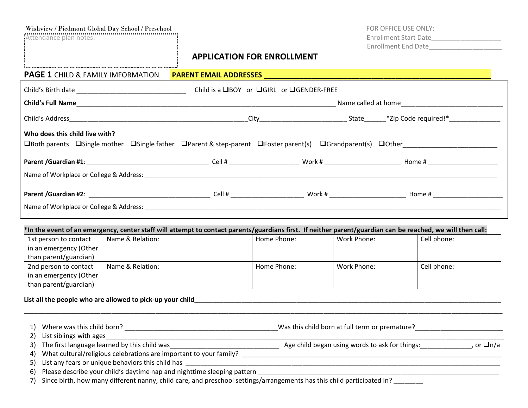| Wishview / Piedmont Global Day School / Preschool<br>Attendance plan notes:                                                                         |                  | <b>APPLICATION FOR ENROLLMENT</b> |                                          |             | FOR OFFICE USE ONLY:<br>Enrollment End Date                                                                                                                |
|-----------------------------------------------------------------------------------------------------------------------------------------------------|------------------|-----------------------------------|------------------------------------------|-------------|------------------------------------------------------------------------------------------------------------------------------------------------------------|
| <b>PAGE 1 CHILD &amp; FAMILY IMFORMATION</b>                                                                                                        |                  |                                   |                                          |             |                                                                                                                                                            |
|                                                                                                                                                     |                  |                                   | Child is a □BOY or □GIRL or □GENDER-FREE |             |                                                                                                                                                            |
|                                                                                                                                                     |                  |                                   |                                          |             |                                                                                                                                                            |
|                                                                                                                                                     |                  |                                   |                                          |             |                                                                                                                                                            |
| Who does this child live with?<br>□Both parents □Single mother □Single father □Parent & step-parent □Foster parent(s) □Grandparent(s) □Other $\Box$ |                  |                                   |                                          |             |                                                                                                                                                            |
|                                                                                                                                                     |                  |                                   |                                          |             |                                                                                                                                                            |
|                                                                                                                                                     |                  |                                   |                                          |             |                                                                                                                                                            |
|                                                                                                                                                     |                  |                                   |                                          |             |                                                                                                                                                            |
|                                                                                                                                                     |                  |                                   |                                          |             | *In the event of an emergency, center staff will attempt to contact parents/guardians first. If neither parent/guardian can be reached, we will then call: |
| 1st person to contact<br>in an emergency (Other<br>than parent/guardian)                                                                            | Name & Relation: |                                   | Home Phone:                              | Work Phone: | Cell phone:                                                                                                                                                |
| 2nd person to contact<br>in an emergency (Other<br>than parent/guardian)                                                                            | Name & Relation: |                                   | Home Phone:                              | Work Phone: | Cell phone:                                                                                                                                                |
|                                                                                                                                                     |                  |                                   |                                          |             |                                                                                                                                                            |
|                                                                                                                                                     |                  | 1) Where was this child born?     |                                          |             | Was this child born at full term or premature?                                                                                                             |

2) List siblings with ages<br>3) The first language learned by this child was

Age child began using words to ask for things:  $\Box$  , or  $\Box$ n/a

4) What cultural/religious celebrations are important to your family? \_\_\_\_\_\_\_\_\_\_\_\_\_\_\_\_\_\_\_\_\_\_\_\_\_\_\_\_\_\_\_\_\_\_\_\_\_\_\_\_\_\_\_\_\_\_\_\_\_\_\_\_\_\_\_\_\_\_\_\_\_\_\_\_\_\_\_\_\_\_\_

5) List any fears or unique behaviors this child has \_\_\_\_\_\_\_\_\_\_\_\_\_\_\_\_\_\_\_\_\_\_\_\_\_\_\_\_\_\_\_\_\_\_\_\_\_\_\_\_\_\_\_\_\_\_\_\_\_\_\_\_\_\_\_\_\_\_\_\_\_\_\_\_\_\_\_\_\_\_\_\_\_\_\_\_\_\_\_\_\_\_\_\_\_\_ 6) Please describe your child's daytime nap and nighttime sleeping pattern \_\_\_\_\_\_\_\_\_\_\_\_\_\_\_\_\_\_\_\_\_\_\_\_\_\_\_\_\_\_\_\_\_\_\_\_\_\_\_\_\_\_\_\_\_\_\_\_\_\_\_\_\_\_\_\_\_\_\_\_\_\_\_\_\_\_

7) Since birth, how many different nanny, child care, and preschool settings/arrangements has this child participated in? \_\_\_\_\_\_\_